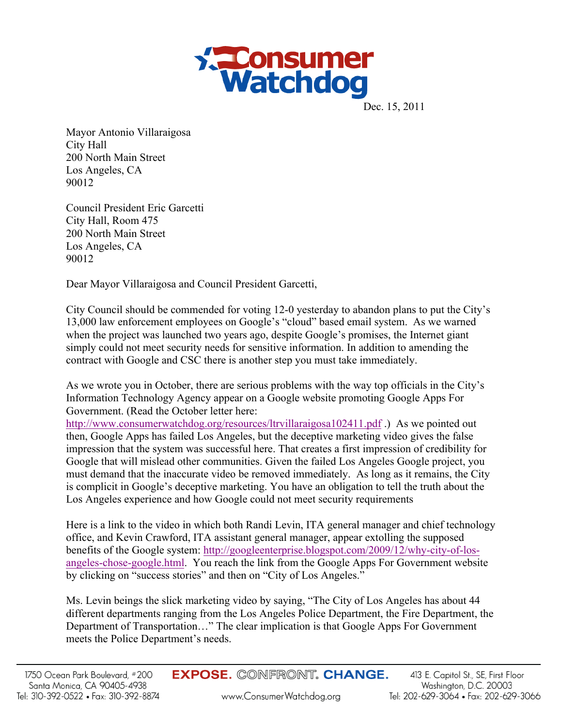

Dec. 15, 2011

Mayor Antonio Villaraigosa City Hall 200 North Main Street Los Angeles, CA 90012

Council President Eric Garcetti City Hall, Room 475 200 North Main Street Los Angeles, CA 90012

Dear Mayor Villaraigosa and Council President Garcetti,

City Council should be commended for voting 12-0 yesterday to abandon plans to put the City's 13,000 law enforcement employees on Google's "cloud" based email system. As we warned when the project was launched two years ago, despite Google's promises, the Internet giant simply could not meet security needs for sensitive information. In addition to amending the contract with Google and CSC there is another step you must take immediately.

As we wrote you in October, there are serious problems with the way top officials in the City's Information Technology Agency appear on a Google website promoting Google Apps For Government. (Read the October letter here:

http://www.consumerwatchdog.org/resources/ltrvillaraigosa102411.pdf.) As we pointed out then, Google Apps has failed Los Angeles, but the deceptive marketing video gives the false impression that the system was successful here. That creates a first impression of credibility for Google that will mislead other communities. Given the failed Los Angeles Google project, you must demand that the inaccurate video be removed immediately. As long as it remains, the City is complicit in Google's deceptive marketing. You have an obligation to tell the truth about the Los Angeles experience and how Google could not meet security requirements

Here is a link to the video in which both Randi Levin, ITA general manager and chief technology office, and Kevin Crawford, ITA assistant general manager, appear extolling the supposed benefits of the Google system: http://googleenterprise.blogspot.com/2009/12/why-city-of-losangeles-chose-google.html. You reach the link from the Google Apps For Government website by clicking on "success stories" and then on "City of Los Angeles."

Ms. Levin beings the slick marketing video by saying, "The City of Los Angeles has about 44 different departments ranging from the Los Angeles Police Department, the Fire Department, the Department of Transportation…" The clear implication is that Google Apps For Government meets the Police Department's needs.

**EXPOSE. CONFRONT. CHANGE.**